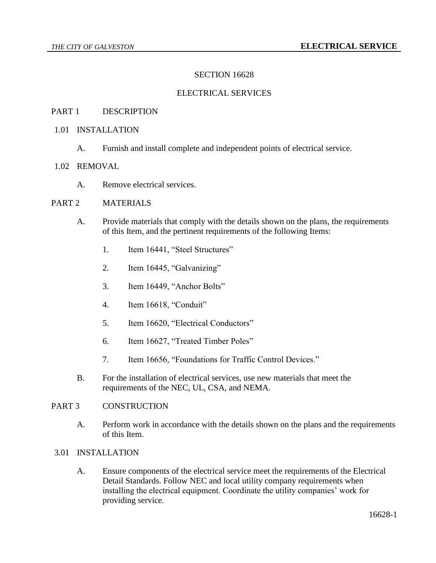# SECTION 16628

## ELECTRICAL SERVICES

## PART 1 DESCRIPTION

## 1.01 INSTALLATION

A. Furnish and install complete and independent points of electrical service.

# 1.02 REMOVAL

A. Remove electrical services.

## PART 2 MATERIALS

- A. Provide materials that comply with the details shown on the plans, the requirements of this Item, and the pertinent requirements of the following Items:
	- 1. Item 16441, "Steel Structures"
	- 2. Item 16445, "Galvanizing"
	- 3. Item 16449, "Anchor Bolts"
	- 4. Item 16618, "Conduit"
	- 5. Item 16620, "Electrical Conductors"
	- 6. Item 16627, "Treated Timber Poles"
	- 7. Item 16656, "Foundations for Traffic Control Devices."
- B. For the installation of electrical services, use new materials that meet the requirements of the NEC, UL, CSA, and NEMA.

## PART 3 CONSTRUCTION

A. Perform work in accordance with the details shown on the plans and the requirements of this Item.

#### 3.01 INSTALLATION

A. Ensure components of the electrical service meet the requirements of the Electrical Detail Standards. Follow NEC and local utility company requirements when installing the electrical equipment. Coordinate the utility companies' work for providing service.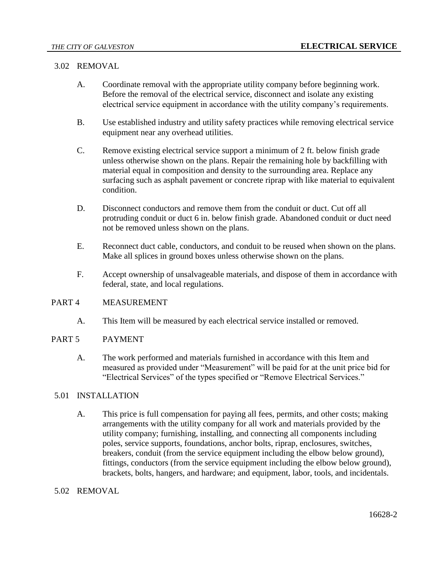## 3.02 REMOVAL

- A. Coordinate removal with the appropriate utility company before beginning work. Before the removal of the electrical service, disconnect and isolate any existing electrical service equipment in accordance with the utility company's requirements.
- B. Use established industry and utility safety practices while removing electrical service equipment near any overhead utilities.
- C. Remove existing electrical service support a minimum of 2 ft. below finish grade unless otherwise shown on the plans. Repair the remaining hole by backfilling with material equal in composition and density to the surrounding area. Replace any surfacing such as asphalt pavement or concrete riprap with like material to equivalent condition.
- D. Disconnect conductors and remove them from the conduit or duct. Cut off all protruding conduit or duct 6 in. below finish grade. Abandoned conduit or duct need not be removed unless shown on the plans.
- E. Reconnect duct cable, conductors, and conduit to be reused when shown on the plans. Make all splices in ground boxes unless otherwise shown on the plans.
- F. Accept ownership of unsalvageable materials, and dispose of them in accordance with federal, state, and local regulations.

## PART 4 MEASUREMENT

A. This Item will be measured by each electrical service installed or removed.

## PART 5 PAYMENT

A. The work performed and materials furnished in accordance with this Item and measured as provided under "Measurement" will be paid for at the unit price bid for "Electrical Services" of the types specified or "Remove Electrical Services."

# 5.01 INSTALLATION

A. This price is full compensation for paying all fees, permits, and other costs; making arrangements with the utility company for all work and materials provided by the utility company; furnishing, installing, and connecting all components including poles, service supports, foundations, anchor bolts, riprap, enclosures, switches, breakers, conduit (from the service equipment including the elbow below ground), fittings, conductors (from the service equipment including the elbow below ground), brackets, bolts, hangers, and hardware; and equipment, labor, tools, and incidentals.

## 5.02 REMOVAL